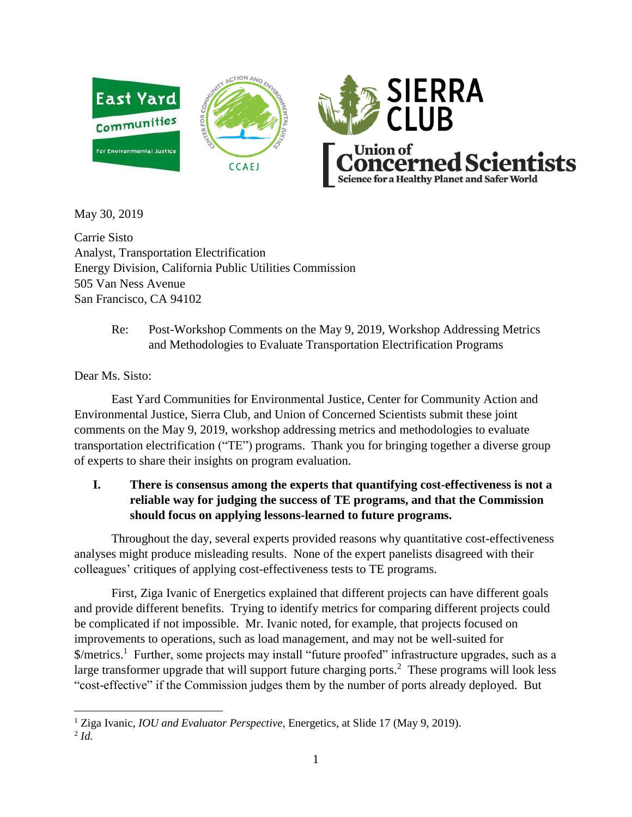



May 30, 2019

Carrie Sisto Analyst, Transportation Electrification Energy Division, California Public Utilities Commission 505 Van Ness Avenue San Francisco, CA 94102

> Re: Post-Workshop Comments on the May 9, 2019, Workshop Addressing Metrics and Methodologies to Evaluate Transportation Electrification Programs

Dear Ms. Sisto:

East Yard Communities for Environmental Justice, Center for Community Action and Environmental Justice, Sierra Club, and Union of Concerned Scientists submit these joint comments on the May 9, 2019, workshop addressing metrics and methodologies to evaluate transportation electrification ("TE") programs. Thank you for bringing together a diverse group of experts to share their insights on program evaluation.

# **I. There is consensus among the experts that quantifying cost-effectiveness is not a reliable way for judging the success of TE programs, and that the Commission should focus on applying lessons-learned to future programs.**

Throughout the day, several experts provided reasons why quantitative cost-effectiveness analyses might produce misleading results. None of the expert panelists disagreed with their colleagues' critiques of applying cost-effectiveness tests to TE programs.

First, Ziga Ivanic of Energetics explained that different projects can have different goals and provide different benefits. Trying to identify metrics for comparing different projects could be complicated if not impossible. Mr. Ivanic noted, for example, that projects focused on improvements to operations, such as load management, and may not be well-suited for \$/metrics.<sup>1</sup> Further, some projects may install "future proofed" infrastructure upgrades, such as a large transformer upgrade that will support future charging ports.<sup>2</sup> These programs will look less "cost-effective" if the Commission judges them by the number of ports already deployed. But

 $\overline{a}$ <sup>1</sup> Ziga Ivanic, *IOU and Evaluator Perspective*, Energetics, at Slide 17 (May 9, 2019).

<sup>2</sup> *Id.*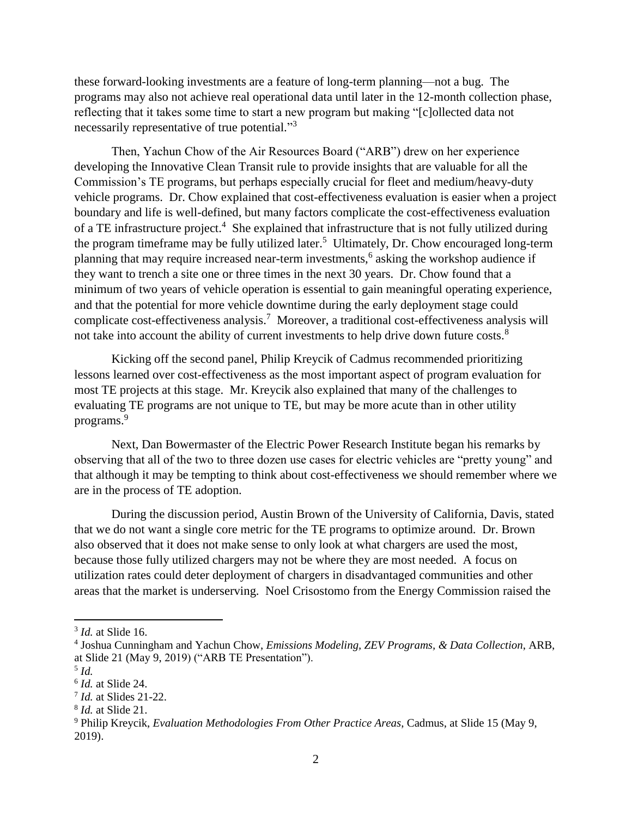these forward-looking investments are a feature of long-term planning—not a bug. The programs may also not achieve real operational data until later in the 12-month collection phase, reflecting that it takes some time to start a new program but making "[c]ollected data not necessarily representative of true potential."<sup>3</sup>

Then, Yachun Chow of the Air Resources Board ("ARB") drew on her experience developing the Innovative Clean Transit rule to provide insights that are valuable for all the Commission's TE programs, but perhaps especially crucial for fleet and medium/heavy-duty vehicle programs. Dr. Chow explained that cost-effectiveness evaluation is easier when a project boundary and life is well-defined, but many factors complicate the cost-effectiveness evaluation of a TE infrastructure project.<sup>4</sup> She explained that infrastructure that is not fully utilized during the program timeframe may be fully utilized later.<sup>5</sup> Ultimately, Dr. Chow encouraged long-term planning that may require increased near-term investments,<sup>6</sup> asking the workshop audience if they want to trench a site one or three times in the next 30 years. Dr. Chow found that a minimum of two years of vehicle operation is essential to gain meaningful operating experience, and that the potential for more vehicle downtime during the early deployment stage could complicate cost-effectiveness analysis.<sup>7</sup> Moreover, a traditional cost-effectiveness analysis will not take into account the ability of current investments to help drive down future costs.<sup>8</sup>

Kicking off the second panel, Philip Kreycik of Cadmus recommended prioritizing lessons learned over cost-effectiveness as the most important aspect of program evaluation for most TE projects at this stage. Mr. Kreycik also explained that many of the challenges to evaluating TE programs are not unique to TE, but may be more acute than in other utility programs.<sup>9</sup>

Next, Dan Bowermaster of the Electric Power Research Institute began his remarks by observing that all of the two to three dozen use cases for electric vehicles are "pretty young" and that although it may be tempting to think about cost-effectiveness we should remember where we are in the process of TE adoption.

During the discussion period, Austin Brown of the University of California, Davis, stated that we do not want a single core metric for the TE programs to optimize around. Dr. Brown also observed that it does not make sense to only look at what chargers are used the most, because those fully utilized chargers may not be where they are most needed. A focus on utilization rates could deter deployment of chargers in disadvantaged communities and other areas that the market is underserving. Noel Crisostomo from the Energy Commission raised the

<sup>3</sup> *Id.* at Slide 16.

<sup>4</sup> Joshua Cunningham and Yachun Chow, *Emissions Modeling, ZEV Programs, & Data Collection*, ARB, at Slide 21 (May 9, 2019) ("ARB TE Presentation").

<sup>5</sup> *Id.*

<sup>6</sup> *Id.* at Slide 24.

<sup>7</sup> *Id.* at Slides 21-22.

<sup>8</sup> *Id.* at Slide 21.

<sup>9</sup> Philip Kreycik, *Evaluation Methodologies From Other Practice Areas*, Cadmus, at Slide 15 (May 9, 2019).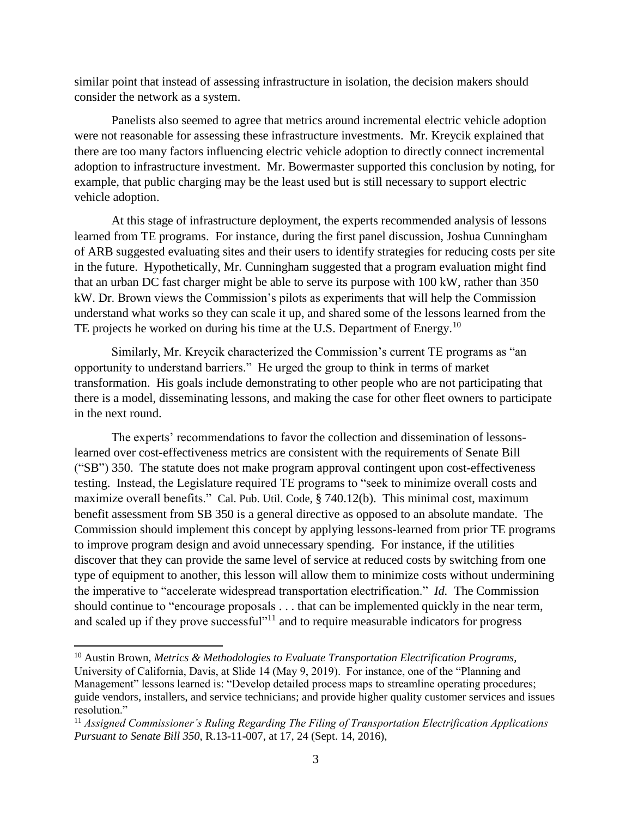similar point that instead of assessing infrastructure in isolation, the decision makers should consider the network as a system.

Panelists also seemed to agree that metrics around incremental electric vehicle adoption were not reasonable for assessing these infrastructure investments. Mr. Kreycik explained that there are too many factors influencing electric vehicle adoption to directly connect incremental adoption to infrastructure investment. Mr. Bowermaster supported this conclusion by noting, for example, that public charging may be the least used but is still necessary to support electric vehicle adoption.

At this stage of infrastructure deployment, the experts recommended analysis of lessons learned from TE programs. For instance, during the first panel discussion, Joshua Cunningham of ARB suggested evaluating sites and their users to identify strategies for reducing costs per site in the future. Hypothetically, Mr. Cunningham suggested that a program evaluation might find that an urban DC fast charger might be able to serve its purpose with 100 kW, rather than 350 kW. Dr. Brown views the Commission's pilots as experiments that will help the Commission understand what works so they can scale it up, and shared some of the lessons learned from the TE projects he worked on during his time at the U.S. Department of Energy.<sup>10</sup>

Similarly, Mr. Kreycik characterized the Commission's current TE programs as "an opportunity to understand barriers." He urged the group to think in terms of market transformation. His goals include demonstrating to other people who are not participating that there is a model, disseminating lessons, and making the case for other fleet owners to participate in the next round.

The experts' recommendations to favor the collection and dissemination of lessonslearned over cost-effectiveness metrics are consistent with the requirements of Senate Bill ("SB") 350. The statute does not make program approval contingent upon cost-effectiveness testing. Instead, the Legislature required TE programs to "seek to minimize overall costs and maximize overall benefits." Cal. Pub. Util. Code, § 740.12(b). This minimal cost, maximum benefit assessment from SB 350 is a general directive as opposed to an absolute mandate. The Commission should implement this concept by applying lessons-learned from prior TE programs to improve program design and avoid unnecessary spending. For instance, if the utilities discover that they can provide the same level of service at reduced costs by switching from one type of equipment to another, this lesson will allow them to minimize costs without undermining the imperative to "accelerate widespread transportation electrification." *Id.* The Commission should continue to "encourage proposals . . . that can be implemented quickly in the near term, and scaled up if they prove successful"<sup>11</sup> and to require measurable indicators for progress

<sup>10</sup> Austin Brown, *Metrics & Methodologies to Evaluate Transportation Electrification Programs*, University of California, Davis, at Slide 14 (May 9, 2019). For instance, one of the "Planning and Management" lessons learned is: "Develop detailed process maps to streamline operating procedures; guide vendors, installers, and service technicians; and provide higher quality customer services and issues resolution."

<sup>11</sup> *Assigned Commissioner's Ruling Regarding The Filing of Transportation Electrification Applications Pursuant to Senate Bill 350*, R.13-11-007, at 17, 24 (Sept. 14, 2016),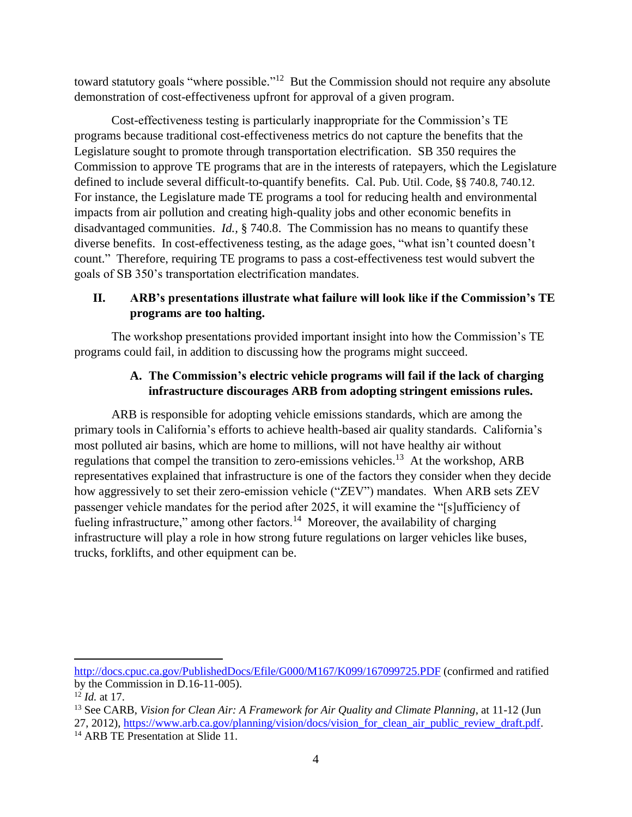toward statutory goals "where possible."<sup>12</sup> But the Commission should not require any absolute demonstration of cost-effectiveness upfront for approval of a given program.

Cost-effectiveness testing is particularly inappropriate for the Commission's TE programs because traditional cost-effectiveness metrics do not capture the benefits that the Legislature sought to promote through transportation electrification. SB 350 requires the Commission to approve TE programs that are in the interests of ratepayers, which the Legislature defined to include several difficult-to-quantify benefits. Cal. Pub. Util. Code, §§ 740.8, 740.12. For instance, the Legislature made TE programs a tool for reducing health and environmental impacts from air pollution and creating high-quality jobs and other economic benefits in disadvantaged communities. *Id.,* § 740.8. The Commission has no means to quantify these diverse benefits. In cost-effectiveness testing, as the adage goes, "what isn't counted doesn't count." Therefore, requiring TE programs to pass a cost-effectiveness test would subvert the goals of SB 350's transportation electrification mandates.

## **II. ARB's presentations illustrate what failure will look like if the Commission's TE programs are too halting.**

The workshop presentations provided important insight into how the Commission's TE programs could fail, in addition to discussing how the programs might succeed.

## **A. The Commission's electric vehicle programs will fail if the lack of charging infrastructure discourages ARB from adopting stringent emissions rules.**

ARB is responsible for adopting vehicle emissions standards, which are among the primary tools in California's efforts to achieve health-based air quality standards. California's most polluted air basins, which are home to millions, will not have healthy air without regulations that compel the transition to zero-emissions vehicles.<sup>13</sup> At the workshop, ARB representatives explained that infrastructure is one of the factors they consider when they decide how aggressively to set their zero-emission vehicle ("ZEV") mandates. When ARB sets ZEV passenger vehicle mandates for the period after 2025, it will examine the "[s]ufficiency of fueling infrastructure," among other factors.<sup>14</sup> Moreover, the availability of charging infrastructure will play a role in how strong future regulations on larger vehicles like buses, trucks, forklifts, and other equipment can be.

l

<http://docs.cpuc.ca.gov/PublishedDocs/Efile/G000/M167/K099/167099725.PDF> (confirmed and ratified by the Commission in D.16-11-005).

<sup>12</sup> *Id.* at 17.

<sup>13</sup> See CARB, *Vision for Clean Air: A Framework for Air Quality and Climate Planning*, at 11-12 (Jun 27, 2012)[, https://www.arb.ca.gov/planning/vision/docs/vision\\_for\\_clean\\_air\\_public\\_review\\_draft.pdf.](https://www.arb.ca.gov/planning/vision/docs/vision_for_clean_air_public_review_draft.pdf)

<sup>&</sup>lt;sup>14</sup> ARB TE Presentation at Slide 11.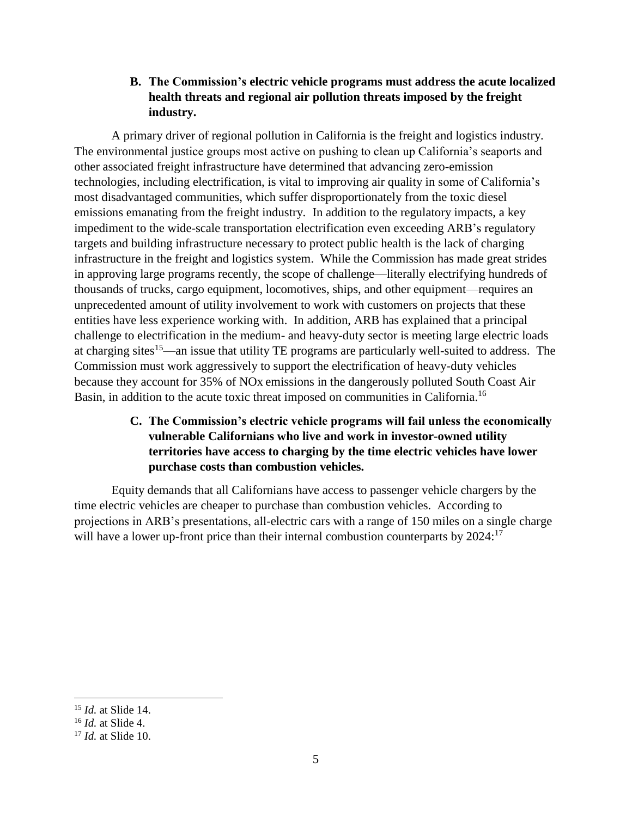**B. The Commission's electric vehicle programs must address the acute localized health threats and regional air pollution threats imposed by the freight industry.** 

A primary driver of regional pollution in California is the freight and logistics industry. The environmental justice groups most active on pushing to clean up California's seaports and other associated freight infrastructure have determined that advancing zero-emission technologies, including electrification, is vital to improving air quality in some of California's most disadvantaged communities, which suffer disproportionately from the toxic diesel emissions emanating from the freight industry. In addition to the regulatory impacts, a key impediment to the wide-scale transportation electrification even exceeding ARB's regulatory targets and building infrastructure necessary to protect public health is the lack of charging infrastructure in the freight and logistics system. While the Commission has made great strides in approving large programs recently, the scope of challenge—literally electrifying hundreds of thousands of trucks, cargo equipment, locomotives, ships, and other equipment—requires an unprecedented amount of utility involvement to work with customers on projects that these entities have less experience working with. In addition, ARB has explained that a principal challenge to electrification in the medium- and heavy-duty sector is meeting large electric loads at charging sites<sup>15</sup>—an issue that utility TE programs are particularly well-suited to address. The Commission must work aggressively to support the electrification of heavy-duty vehicles because they account for 35% of NOx emissions in the dangerously polluted South Coast Air Basin, in addition to the acute toxic threat imposed on communities in California.<sup>16</sup>

## **C. The Commission's electric vehicle programs will fail unless the economically vulnerable Californians who live and work in investor-owned utility territories have access to charging by the time electric vehicles have lower purchase costs than combustion vehicles.**

Equity demands that all Californians have access to passenger vehicle chargers by the time electric vehicles are cheaper to purchase than combustion vehicles. According to projections in ARB's presentations, all-electric cars with a range of 150 miles on a single charge will have a lower up-front price than their internal combustion counterparts by 2024:<sup>17</sup>

<sup>15</sup> *Id.* at Slide 14.

<sup>16</sup> *Id.* at Slide 4.

<sup>17</sup> *Id.* at Slide 10.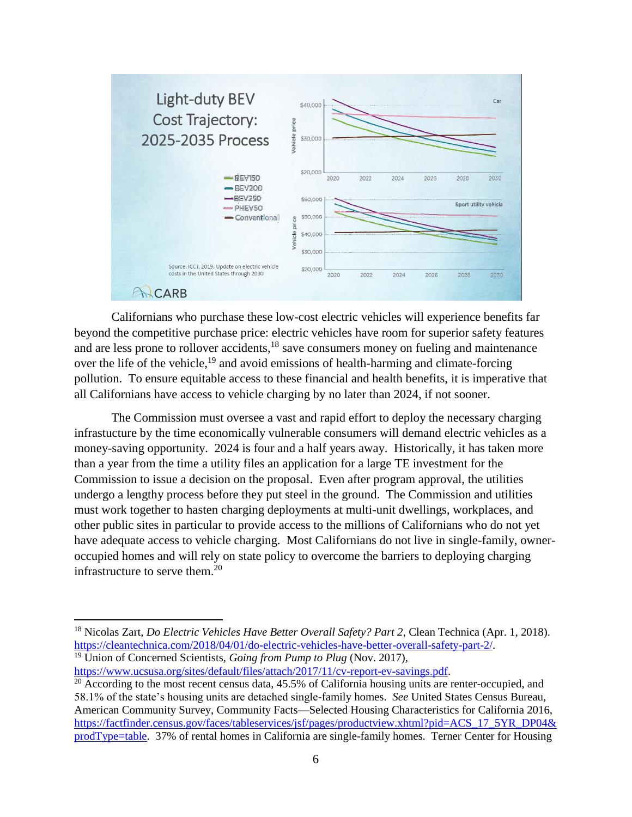

Californians who purchase these low-cost electric vehicles will experience benefits far beyond the competitive purchase price: electric vehicles have room for superior safety features and are less prone to rollover accidents,<sup>18</sup> save consumers money on fueling and maintenance over the life of the vehicle,<sup>19</sup> and avoid emissions of health-harming and climate-forcing pollution. To ensure equitable access to these financial and health benefits, it is imperative that all Californians have access to vehicle charging by no later than 2024, if not sooner.

The Commission must oversee a vast and rapid effort to deploy the necessary charging infrastucture by the time economically vulnerable consumers will demand electric vehicles as a money-saving opportunity. 2024 is four and a half years away. Historically, it has taken more than a year from the time a utility files an application for a large TE investment for the Commission to issue a decision on the proposal. Even after program approval, the utilities undergo a lengthy process before they put steel in the ground. The Commission and utilities must work together to hasten charging deployments at multi-unit dwellings, workplaces, and other public sites in particular to provide access to the millions of Californians who do not yet have adequate access to vehicle charging. Most Californians do not live in single-family, owneroccupied homes and will rely on state policy to overcome the barriers to deploying charging infrastructure to serve them. $^{20}$ 

[https://www.ucsusa.org/sites/default/files/attach/2017/11/cv-report-ev-savings.pdf.](https://www.ucsusa.org/sites/default/files/attach/2017/11/cv-report-ev-savings.pdf)

<sup>18</sup> Nicolas Zart, *Do Electric Vehicles Have Better Overall Safety? Part 2*, Clean Technica (Apr. 1, 2018). [https://cleantechnica.com/2018/04/01/do-electric-vehicles-have-better-overall-safety-part-2/.](https://cleantechnica.com/2018/04/01/do-electric-vehicles-have-better-overall-safety-part-2/) <sup>19</sup> Union of Concerned Scientists, *Going from Pump to Plug* (Nov. 2017),

<sup>&</sup>lt;sup>20</sup> According to the most recent census data, 45.5% of California housing units are renter-occupied, and 58.1% of the state's housing units are detached single-family homes. *See* United States Census Bureau, American Community Survey, Community Facts—Selected Housing Characteristics for California 2016, [https://factfinder.census.gov/faces/tableservices/jsf/pages/productview.xhtml?pid=ACS\\_17\\_5YR\\_DP04&](https://factfinder.census.gov/faces/tableservices/jsf/pages/productview.xhtml?pid=ACS_17_5YR_DP04&prodType=table) [prodType=table.](https://factfinder.census.gov/faces/tableservices/jsf/pages/productview.xhtml?pid=ACS_17_5YR_DP04&prodType=table) 37% of rental homes in California are single-family homes. Terner Center for Housing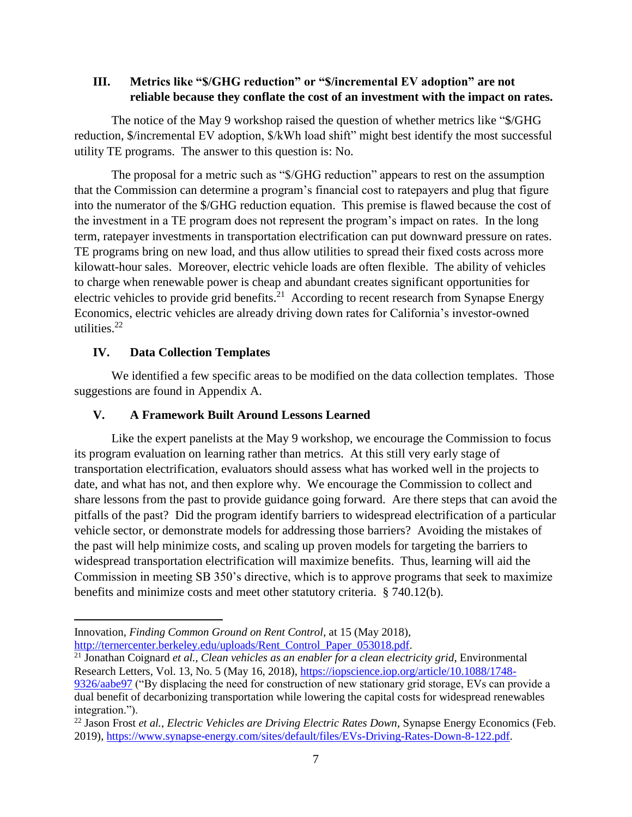#### **III. Metrics like "\$/GHG reduction" or "\$/incremental EV adoption" are not reliable because they conflate the cost of an investment with the impact on rates.**

The notice of the May 9 workshop raised the question of whether metrics like "\$/GHG reduction, \$/incremental EV adoption, \$/kWh load shift" might best identify the most successful utility TE programs. The answer to this question is: No.

The proposal for a metric such as "\$/GHG reduction" appears to rest on the assumption that the Commission can determine a program's financial cost to ratepayers and plug that figure into the numerator of the \$/GHG reduction equation. This premise is flawed because the cost of the investment in a TE program does not represent the program's impact on rates. In the long term, ratepayer investments in transportation electrification can put downward pressure on rates. TE programs bring on new load, and thus allow utilities to spread their fixed costs across more kilowatt-hour sales. Moreover, electric vehicle loads are often flexible. The ability of vehicles to charge when renewable power is cheap and abundant creates significant opportunities for electric vehicles to provide grid benefits.<sup>21</sup> According to recent research from Synapse Energy Economics, electric vehicles are already driving down rates for California's investor-owned utilities. $22$ 

#### **IV. Data Collection Templates**

 $\overline{\phantom{a}}$ 

We identified a few specific areas to be modified on the data collection templates. Those suggestions are found in Appendix A.

#### **V. A Framework Built Around Lessons Learned**

Like the expert panelists at the May 9 workshop, we encourage the Commission to focus its program evaluation on learning rather than metrics. At this still very early stage of transportation electrification, evaluators should assess what has worked well in the projects to date, and what has not, and then explore why. We encourage the Commission to collect and share lessons from the past to provide guidance going forward. Are there steps that can avoid the pitfalls of the past? Did the program identify barriers to widespread electrification of a particular vehicle sector, or demonstrate models for addressing those barriers? Avoiding the mistakes of the past will help minimize costs, and scaling up proven models for targeting the barriers to widespread transportation electrification will maximize benefits. Thus, learning will aid the Commission in meeting SB 350's directive, which is to approve programs that seek to maximize benefits and minimize costs and meet other statutory criteria. § 740.12(b).

Innovation, *Finding Common Ground on Rent Control*, at 15 (May 2018),

[http://ternercenter.berkeley.edu/uploads/Rent\\_Control\\_Paper\\_053018.pdf.](http://ternercenter.berkeley.edu/uploads/Rent_Control_Paper_053018.pdf)

<sup>21</sup> Jonathan Coignard *et al.*, *Clean vehicles as an enabler for a clean electricity grid*, Environmental Research Letters, Vol. 13, No. 5 (May 16, 2018), [https://iopscience.iop.org/article/10.1088/1748-](https://iopscience.iop.org/article/10.1088/1748-9326/aabe97) [9326/aabe97](https://iopscience.iop.org/article/10.1088/1748-9326/aabe97) ("By displacing the need for construction of new stationary grid storage, EVs can provide a dual benefit of decarbonizing transportation while lowering the capital costs for widespread renewables integration.").

<sup>22</sup> Jason Frost *et al.*, *Electric Vehicles are Driving Electric Rates Down*, Synapse Energy Economics (Feb. 2019), [https://www.synapse-energy.com/sites/default/files/EVs-Driving-Rates-Down-8-122.pdf.](https://www.synapse-energy.com/sites/default/files/EVs-Driving-Rates-Down-8-122.pdf)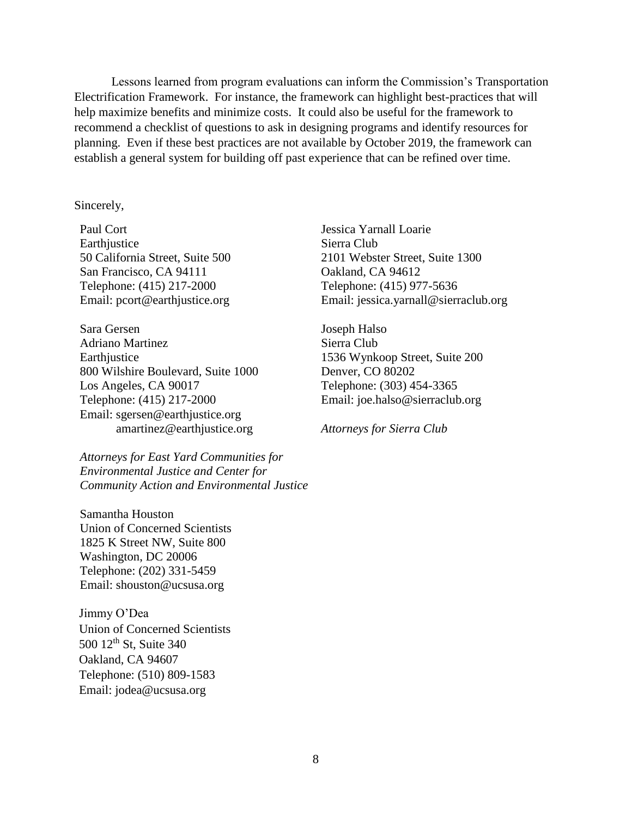Lessons learned from program evaluations can inform the Commission's Transportation Electrification Framework. For instance, the framework can highlight best-practices that will help maximize benefits and minimize costs. It could also be useful for the framework to recommend a checklist of questions to ask in designing programs and identify resources for planning. Even if these best practices are not available by October 2019, the framework can establish a general system for building off past experience that can be refined over time.

#### Sincerely,

Paul Cort Earthjustice 50 California Street, Suite 500 San Francisco, CA 94111 Telephone: (415) 217-2000 Email: pcort@earthjustice.org

Sara Gersen Adriano Martinez **Earthjustice** 800 Wilshire Boulevard, Suite 1000 Los Angeles, CA 90017 Telephone: (415) 217-2000 Email: sgersen@earthjustice.org amartinez@earthjustice.org

*Attorneys for East Yard Communities for Environmental Justice and Center for Community Action and Environmental Justice*

Samantha Houston Union of Concerned Scientists 1825 K Street NW, Suite 800 Washington, DC 20006 Telephone: (202) 331-5459 Email: shouston@ucsusa.org

Jimmy O'Dea Union of Concerned Scientists 500 12<sup>th</sup> St, Suite 340 Oakland, CA 94607 Telephone: (510) 809-1583 Email: jodea@ucsusa.org

Jessica Yarnall Loarie Sierra Club 2101 Webster Street, Suite 1300 Oakland, CA 94612 Telephone: (415) 977-5636 Email: jessica.yarnall@sierraclub.org

Joseph Halso Sierra Club 1536 Wynkoop Street, Suite 200 Denver, CO 80202 Telephone: (303) 454-3365 Email: joe.halso@sierraclub.org

*Attorneys for Sierra Club*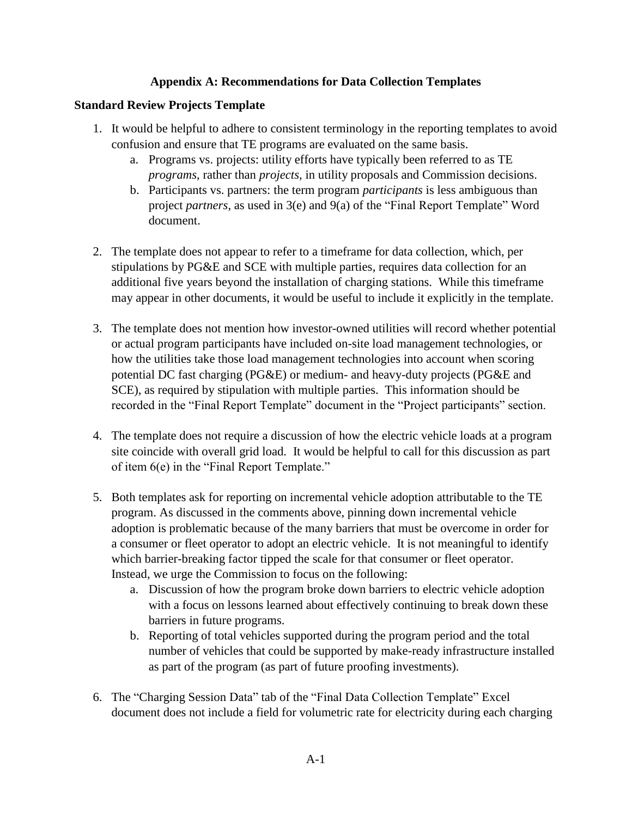### **Appendix A: Recommendations for Data Collection Templates**

## **Standard Review Projects Template**

- 1. It would be helpful to adhere to consistent terminology in the reporting templates to avoid confusion and ensure that TE programs are evaluated on the same basis.
	- a. Programs vs. projects: utility efforts have typically been referred to as TE *programs*, rather than *projects*, in utility proposals and Commission decisions.
	- b. Participants vs. partners: the term program *participants* is less ambiguous than project *partners*, as used in 3(e) and 9(a) of the "Final Report Template" Word document.
- 2. The template does not appear to refer to a timeframe for data collection, which, per stipulations by PG&E and SCE with multiple parties, requires data collection for an additional five years beyond the installation of charging stations. While this timeframe may appear in other documents, it would be useful to include it explicitly in the template.
- 3. The template does not mention how investor-owned utilities will record whether potential or actual program participants have included on-site load management technologies, or how the utilities take those load management technologies into account when scoring potential DC fast charging (PG&E) or medium- and heavy-duty projects (PG&E and SCE), as required by stipulation with multiple parties. This information should be recorded in the "Final Report Template" document in the "Project participants" section.
- 4. The template does not require a discussion of how the electric vehicle loads at a program site coincide with overall grid load. It would be helpful to call for this discussion as part of item 6(e) in the "Final Report Template."
- 5. Both templates ask for reporting on incremental vehicle adoption attributable to the TE program. As discussed in the comments above, pinning down incremental vehicle adoption is problematic because of the many barriers that must be overcome in order for a consumer or fleet operator to adopt an electric vehicle. It is not meaningful to identify which barrier-breaking factor tipped the scale for that consumer or fleet operator. Instead, we urge the Commission to focus on the following:
	- a. Discussion of how the program broke down barriers to electric vehicle adoption with a focus on lessons learned about effectively continuing to break down these barriers in future programs.
	- b. Reporting of total vehicles supported during the program period and the total number of vehicles that could be supported by make-ready infrastructure installed as part of the program (as part of future proofing investments).
- 6. The "Charging Session Data" tab of the "Final Data Collection Template" Excel document does not include a field for volumetric rate for electricity during each charging